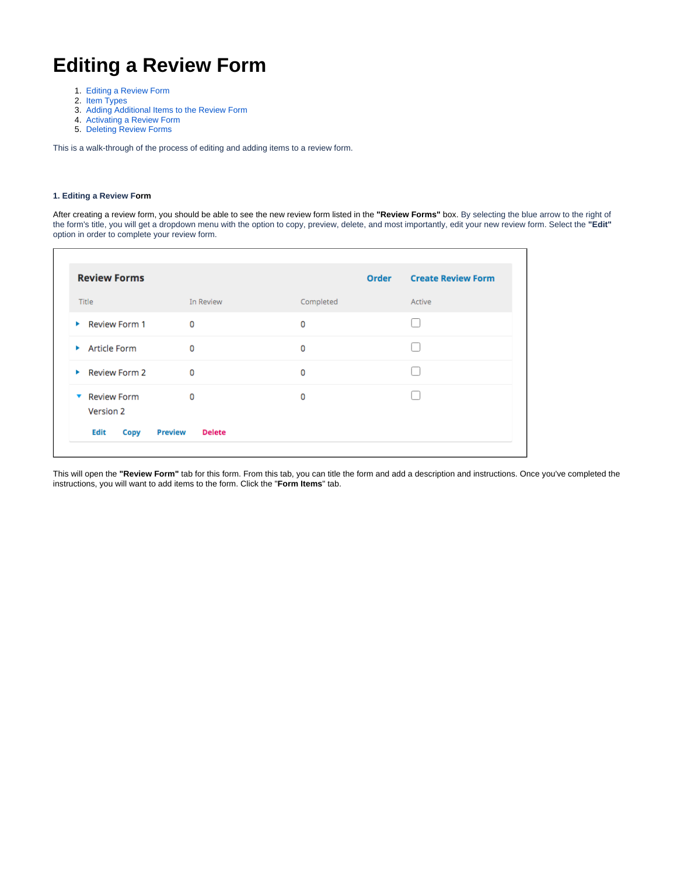# **Editing a Review Form**

- 1. [Editing a Review Form](#page-0-0)
- 2. [Item Types](#page-3-0)
- 3. [Adding Additional Items to the Review Form](#page-5-0)
- 4. [Activating a Review Form](#page-10-0)
- 5. [Deleting Review Forms](#page-10-1)

<span id="page-0-0"></span>This is a walk-through of the process of editing and adding items to a review form.

## **1. Editing a Review Form**

After creating a review form, you should be able to see the new review form listed in the **"Review Forms"** box. By selecting the blue arrow to the right of the form's title, you will get a dropdown menu with the option to copy, preview, delete, and most importantly, edit your new review form. Select the **"Edit"** option in order to complete your review form.

| <b>Review Forms</b>                   |                                 |           | <b>Create Review Form</b><br>Order |
|---------------------------------------|---------------------------------|-----------|------------------------------------|
| Title                                 | In Review                       | Completed | Active                             |
| Review Form 1                         | 0                               | 0         |                                    |
| Article Form                          | 0                               | 0         |                                    |
| Review Form 2                         | 0                               | 0         |                                    |
| <b>Review Form</b><br>v.<br>Version 2 | 0                               | 0         |                                    |
| Edit<br>Copy                          | <b>Preview</b><br><b>Delete</b> |           |                                    |

This will open the **"Review Form"** tab for this form. From this tab, you can title the form and add a description and instructions. Once you've completed the instructions, you will want to add items to the form. Click the "**Form Items**" tab.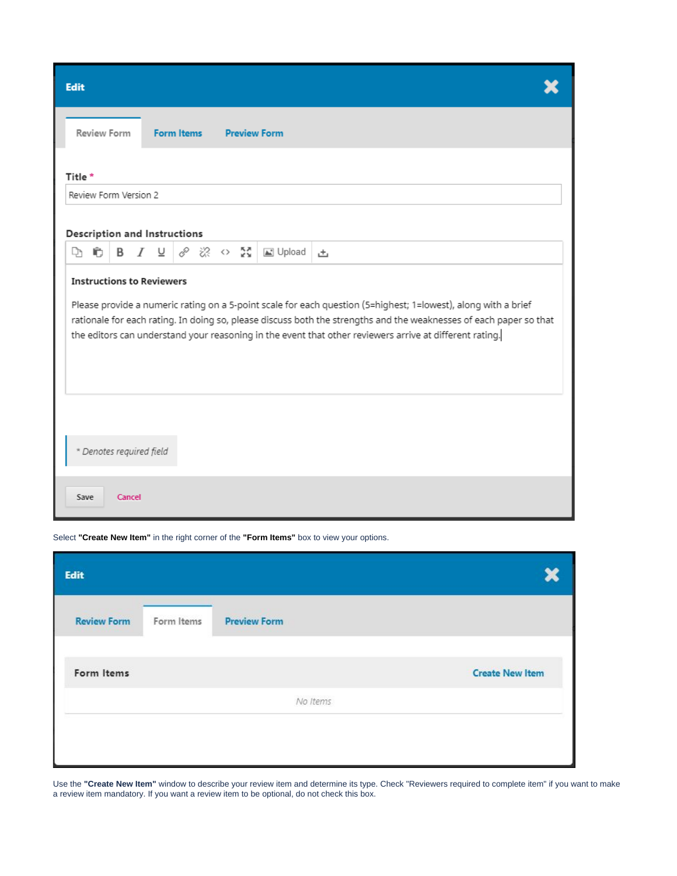| Edit                         |                                                                                                                                                                                                                                                                                                                                                                                     |                    |        |                          |                   |         |  |  |                     |   |
|------------------------------|-------------------------------------------------------------------------------------------------------------------------------------------------------------------------------------------------------------------------------------------------------------------------------------------------------------------------------------------------------------------------------------|--------------------|--------|--------------------------|-------------------|---------|--|--|---------------------|---|
|                              |                                                                                                                                                                                                                                                                                                                                                                                     | <b>Review Form</b> |        |                          | <b>Form Items</b> |         |  |  | <b>Preview Form</b> |   |
| Title*                       |                                                                                                                                                                                                                                                                                                                                                                                     |                    |        |                          |                   |         |  |  |                     |   |
| Review Form Version 2        |                                                                                                                                                                                                                                                                                                                                                                                     |                    |        |                          |                   |         |  |  |                     |   |
| Description and Instructions |                                                                                                                                                                                                                                                                                                                                                                                     |                    |        |                          |                   |         |  |  |                     |   |
| Ļħ                           | 肩                                                                                                                                                                                                                                                                                                                                                                                   | В                  |        | $I \perp$                |                   | ♂ ぷ ○ 髭 |  |  | <b>last</b> Upload  | 击 |
|                              | <b>Instructions to Reviewers</b><br>Please provide a numeric rating on a 5-point scale for each question (5=highest; 1=lowest), along with a brief<br>rationale for each rating. In doing so, please discuss both the strengths and the weaknesses of each paper so that<br>the editors can understand your reasoning in the event that other reviewers arrive at different rating. |                    |        |                          |                   |         |  |  |                     |   |
|                              |                                                                                                                                                                                                                                                                                                                                                                                     |                    |        | * Denotes required field |                   |         |  |  |                     |   |
| Save                         |                                                                                                                                                                                                                                                                                                                                                                                     |                    | Cancel |                          |                   |         |  |  |                     |   |

Select **"Create New Item"** in the right corner of the **"Form Items"** box to view your options.

| Edit               |            |                     |                        |
|--------------------|------------|---------------------|------------------------|
| <b>Review Form</b> | Form Items | <b>Preview Form</b> |                        |
| Form Items         |            |                     | <b>Create New Item</b> |
|                    |            | No Items            |                        |

Use the **"Create New Item"** window to describe your review item and determine its type. Check "Reviewers required to complete item" if you want to make a review item mandatory. If you want a review item to be optional, do not check this box.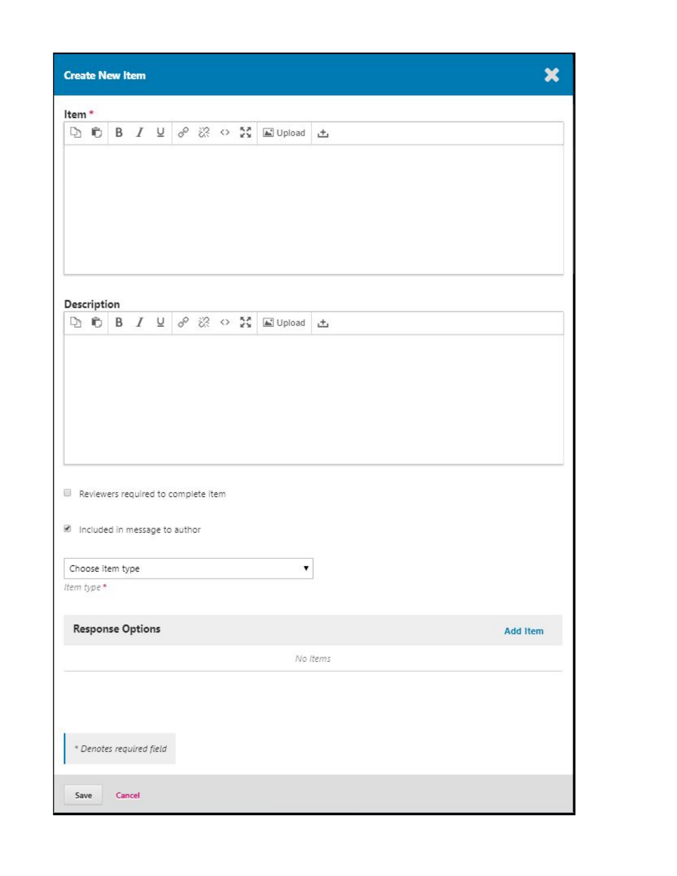| <b>Create New Item</b>                                                                                                                                                                           |   |                 |  |  |  |  |  |  |  |  |  |  |
|--------------------------------------------------------------------------------------------------------------------------------------------------------------------------------------------------|---|-----------------|--|--|--|--|--|--|--|--|--|--|
| Item*                                                                                                                                                                                            |   |                 |  |  |  |  |  |  |  |  |  |  |
| DO                                                                                                                                                                                               |   |                 |  |  |  |  |  |  |  |  |  |  |
|                                                                                                                                                                                                  |   |                 |  |  |  |  |  |  |  |  |  |  |
|                                                                                                                                                                                                  |   |                 |  |  |  |  |  |  |  |  |  |  |
|                                                                                                                                                                                                  |   |                 |  |  |  |  |  |  |  |  |  |  |
|                                                                                                                                                                                                  |   |                 |  |  |  |  |  |  |  |  |  |  |
| Description                                                                                                                                                                                      |   |                 |  |  |  |  |  |  |  |  |  |  |
| $\Box \quad \Box \quad \Box \quad B \quad I \quad \underline{\cup} \quad \mathcal{S} \quad \boxtimes \quad \mathcal{S} \quad \underline{\mathcal{S}} \quad \underline{\boxtimes} \text{ Unload}$ |   | 凸               |  |  |  |  |  |  |  |  |  |  |
|                                                                                                                                                                                                  |   |                 |  |  |  |  |  |  |  |  |  |  |
|                                                                                                                                                                                                  |   |                 |  |  |  |  |  |  |  |  |  |  |
|                                                                                                                                                                                                  |   |                 |  |  |  |  |  |  |  |  |  |  |
|                                                                                                                                                                                                  |   |                 |  |  |  |  |  |  |  |  |  |  |
|                                                                                                                                                                                                  |   |                 |  |  |  |  |  |  |  |  |  |  |
| Reviewers required to complete item                                                                                                                                                              |   |                 |  |  |  |  |  |  |  |  |  |  |
|                                                                                                                                                                                                  |   |                 |  |  |  |  |  |  |  |  |  |  |
| Included in message to author                                                                                                                                                                    |   |                 |  |  |  |  |  |  |  |  |  |  |
| Choose item type                                                                                                                                                                                 | ۷ |                 |  |  |  |  |  |  |  |  |  |  |
| Item type*                                                                                                                                                                                       |   |                 |  |  |  |  |  |  |  |  |  |  |
| <b>Response Options</b>                                                                                                                                                                          |   | <b>Add Item</b> |  |  |  |  |  |  |  |  |  |  |
|                                                                                                                                                                                                  |   | No Items        |  |  |  |  |  |  |  |  |  |  |
|                                                                                                                                                                                                  |   |                 |  |  |  |  |  |  |  |  |  |  |
|                                                                                                                                                                                                  |   |                 |  |  |  |  |  |  |  |  |  |  |
|                                                                                                                                                                                                  |   |                 |  |  |  |  |  |  |  |  |  |  |
| * Denotes required field                                                                                                                                                                         |   |                 |  |  |  |  |  |  |  |  |  |  |
| Save<br>Cancel                                                                                                                                                                                   |   |                 |  |  |  |  |  |  |  |  |  |  |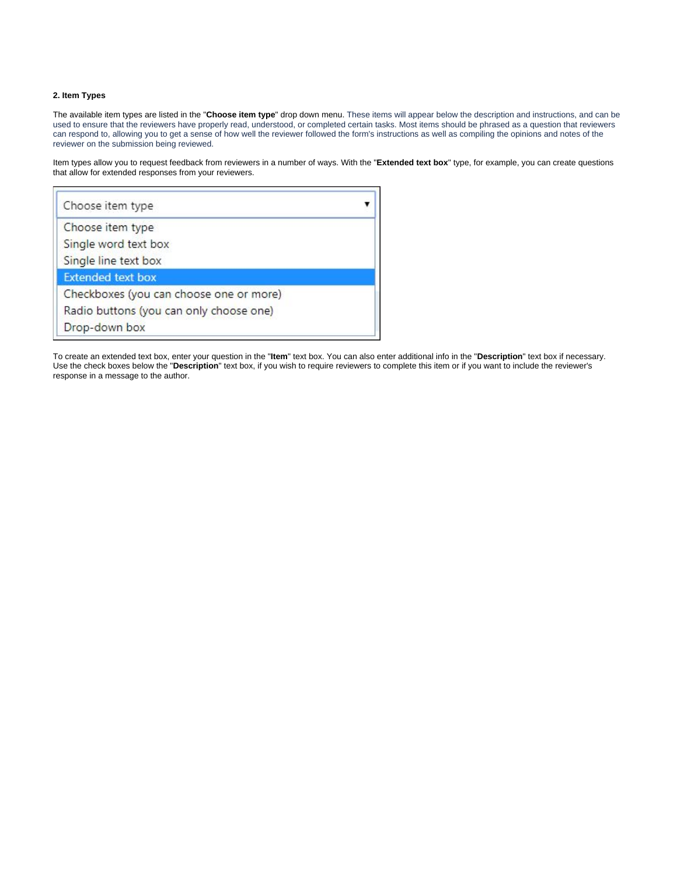## <span id="page-3-0"></span>**2. Item Types**

The available item types are listed in the "**Choose item type**" drop down menu. These items will appear below the description and instructions, and can be used to ensure that the reviewers have properly read, understood, or completed certain tasks. Most items should be phrased as a question that reviewers can respond to, allowing you to get a sense of how well the reviewer followed the form's instructions as well as compiling the opinions and notes of the reviewer on the submission being reviewed.

Item types allow you to request feedback from reviewers in a number of ways. With the "**Extended text box**" type, for example, you can create questions that allow for extended responses from your reviewers.

| Choose item type                        |  |
|-----------------------------------------|--|
| Choose item type                        |  |
| Single word text box                    |  |
| Single line text box                    |  |
| <b>Extended text box</b>                |  |
| Checkboxes (you can choose one or more) |  |
| Radio buttons (you can only choose one) |  |
| Drop-down box                           |  |

To create an extended text box, enter your question in the "**Item**" text box. You can also enter additional info in the "**Description**" text box if necessary. Use the check boxes below the "**Description**" text box, if you wish to require reviewers to complete this item or if you want to include the reviewer's response in a message to the author.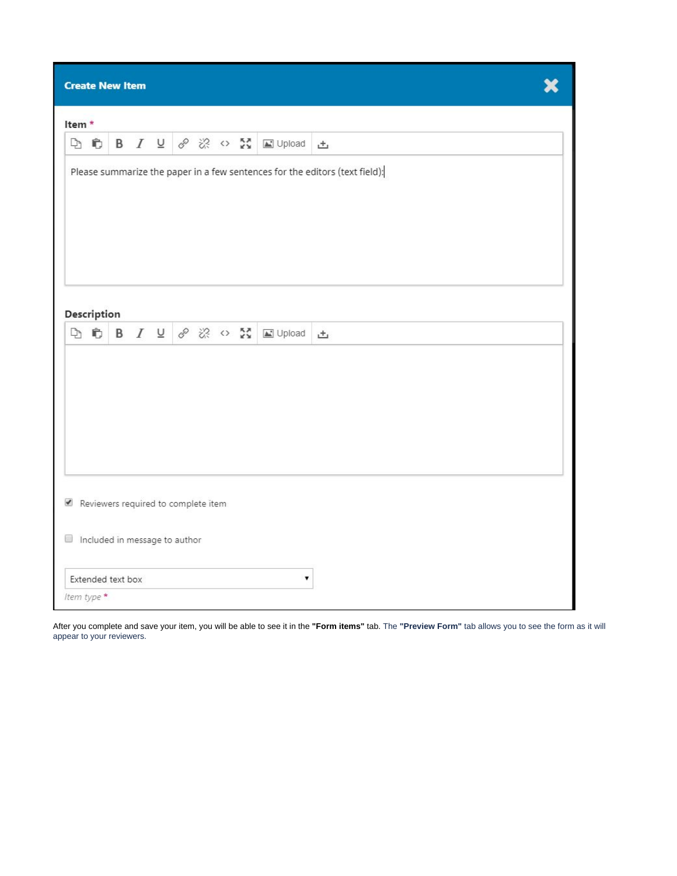| <b>Create New Item</b>                                               |                                                                             |  |  |  |                                                                               |  |  |  |                        |   |
|----------------------------------------------------------------------|-----------------------------------------------------------------------------|--|--|--|-------------------------------------------------------------------------------|--|--|--|------------------------|---|
| Item <sup>*</sup>                                                    |                                                                             |  |  |  |                                                                               |  |  |  |                        |   |
|                                                                      | DD                                                                          |  |  |  |                                                                               |  |  |  | B I U & ※ o 器 国 Upload | 凸 |
|                                                                      | Please summarize the paper in a few sentences for the editors (text field): |  |  |  |                                                                               |  |  |  |                        |   |
| Description                                                          |                                                                             |  |  |  | $\Box \bullet \bullet \bullet \quad I \perp \circ \circ \otimes \circ \Sigma$ |  |  |  | L' Upload              | 凸 |
|                                                                      |                                                                             |  |  |  |                                                                               |  |  |  |                        |   |
|                                                                      |                                                                             |  |  |  |                                                                               |  |  |  |                        |   |
|                                                                      |                                                                             |  |  |  |                                                                               |  |  |  |                        |   |
| Reviewers required to complete item<br>Included in message to author |                                                                             |  |  |  |                                                                               |  |  |  |                        |   |
|                                                                      | Extended text box                                                           |  |  |  |                                                                               |  |  |  | ۷                      |   |
| Item type *                                                          |                                                                             |  |  |  |                                                                               |  |  |  |                        |   |

After you complete and save your item, you will be able to see it in the **"Form items"** tab. The **"Preview Form"** tab allows you to see the form as it will appear to your reviewers.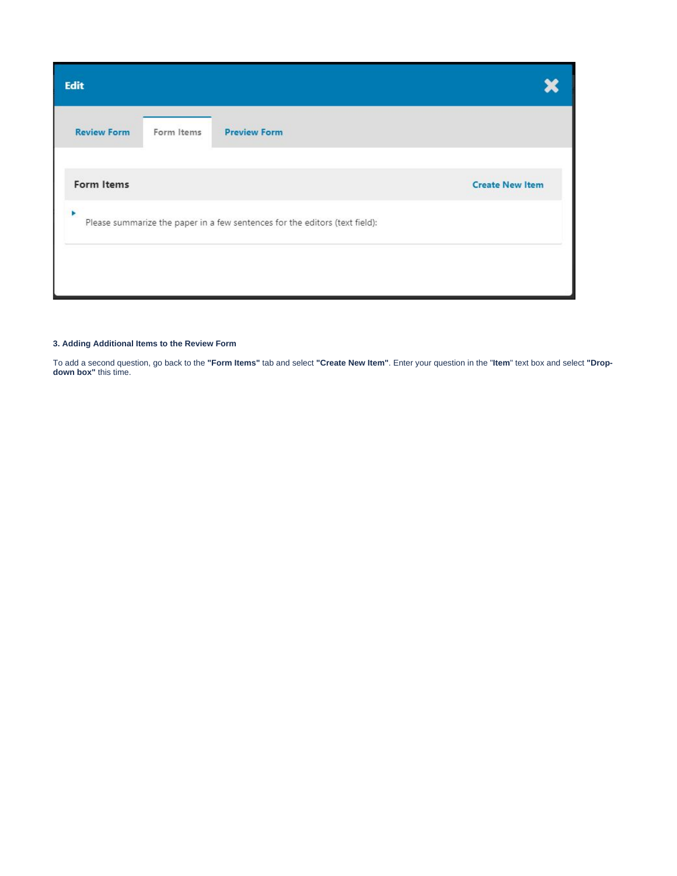| <b>Edit</b>                                                                      |                        |
|----------------------------------------------------------------------------------|------------------------|
| <b>Review Form</b><br><b>Preview Form</b><br>Form Items                          |                        |
| Form Items                                                                       | <b>Create New Item</b> |
| Þ<br>Please summarize the paper in a few sentences for the editors (text field): |                        |
|                                                                                  |                        |
|                                                                                  |                        |

## <span id="page-5-0"></span>**3. Adding Additional Items to the Review Form**

To add a second question, go back to the **"Form Items"** tab and select **"Create New Item"**. Enter your question in the "**Item**" text box and select **"Dropdown box"** this time.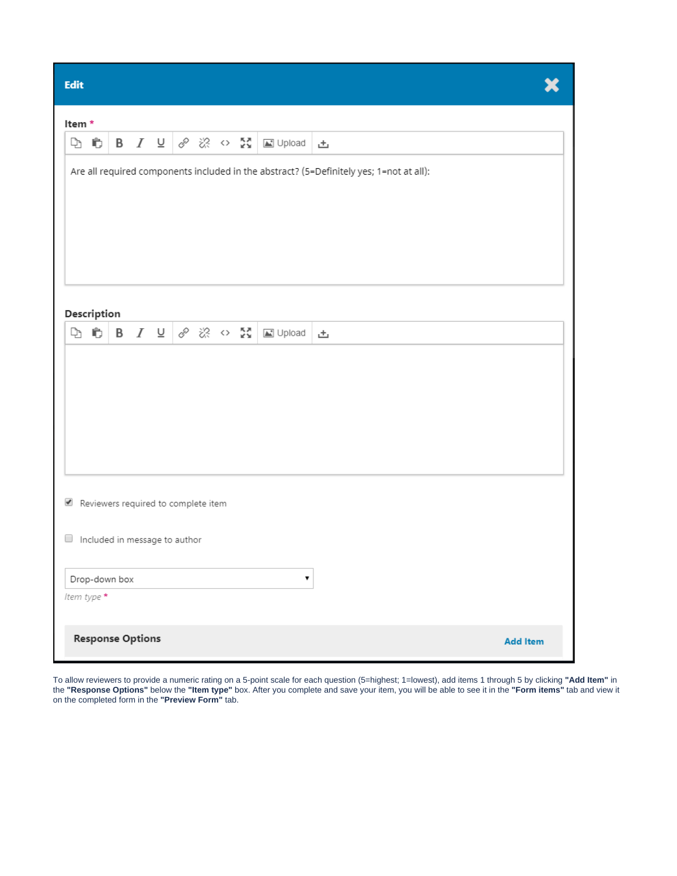|     | s. |  |
|-----|----|--|
|     |    |  |
| . . |    |  |
|     |    |  |

| <b>Edit</b>                                                                             |  |               |                         |  |                                                                    |  |  |  |                                                       |                 |
|-----------------------------------------------------------------------------------------|--|---------------|-------------------------|--|--------------------------------------------------------------------|--|--|--|-------------------------------------------------------|-----------------|
| Item*                                                                                   |  |               |                         |  |                                                                    |  |  |  |                                                       |                 |
| D Ċ                                                                                     |  |               |                         |  |                                                                    |  |  |  | <b>B</b> $I \subseteq \emptyset$ ※ $\circ$ ☆ 図 Upload | 凸               |
| Are all required components included in the abstract? (5=Definitely yes; 1=not at all): |  |               |                         |  |                                                                    |  |  |  |                                                       |                 |
| Description                                                                             |  |               |                         |  |                                                                    |  |  |  |                                                       |                 |
| d c                                                                                     |  |               |                         |  | <b>B</b> $I \subseteq \emptyset$ $\mathbb{R}$ $\circ$ $\mathbb{R}$ |  |  |  | <b>△</b> Upload                                       | 凸               |
|                                                                                         |  |               |                         |  |                                                                    |  |  |  |                                                       |                 |
| Reviewers required to complete item                                                     |  |               |                         |  |                                                                    |  |  |  |                                                       |                 |
| $\Box$ Included in message to author                                                    |  |               |                         |  |                                                                    |  |  |  |                                                       |                 |
|                                                                                         |  | Drop-down box |                         |  |                                                                    |  |  |  | 7                                                     |                 |
| Item type *                                                                             |  |               |                         |  |                                                                    |  |  |  |                                                       |                 |
|                                                                                         |  |               | <b>Response Options</b> |  |                                                                    |  |  |  |                                                       | <b>Add Item</b> |

To allow reviewers to provide a numeric rating on a 5-point scale for each question (5=highest; 1=lowest), add items 1 through 5 by clicking **"Add Item"** in the **"Response Options"** below the **"Item type"** box. After you complete and save your item, you will be able to see it in the **"Form items"** tab and view it on the completed form in the **"Preview Form"** tab.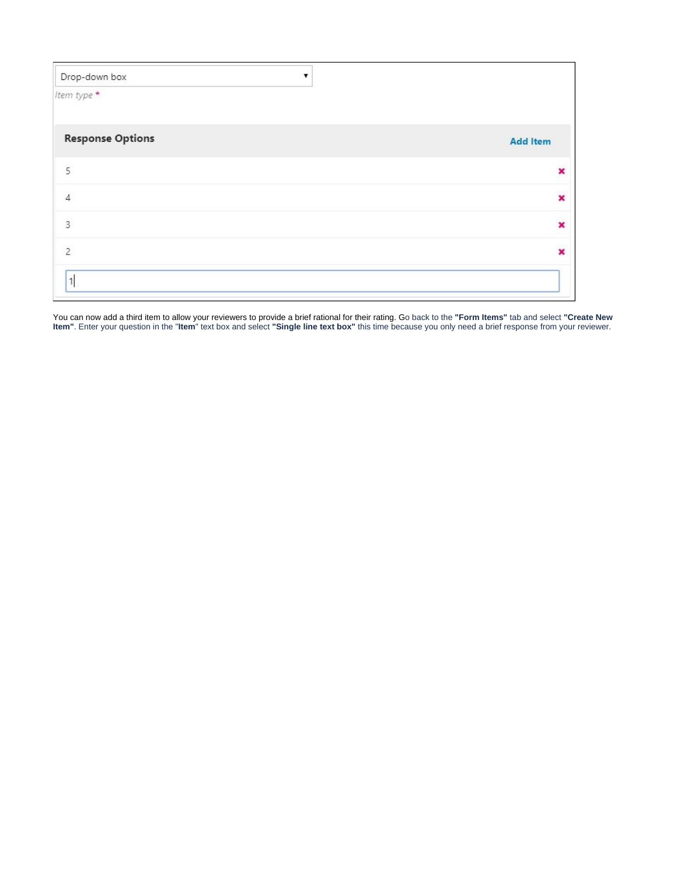| Drop-down box           |                         |
|-------------------------|-------------------------|
| Item type *             |                         |
| <b>Response Options</b> | <b>Add Item</b>         |
| 5                       | ×                       |
| $\Delta$                | ×                       |
| $\overline{3}$          | ×                       |
| $\overline{c}$          | $\overline{\mathbf{x}}$ |
| $\mathbf{1}$            |                         |

You can now add a third item to allow your reviewers to provide a brief rational for their rating. Go back to the **"Form Items"** tab and select **"Create New Item"**. Enter your question in the "**Item**" text box and select **"Single line text box"** this time because you only need a brief response from your reviewer.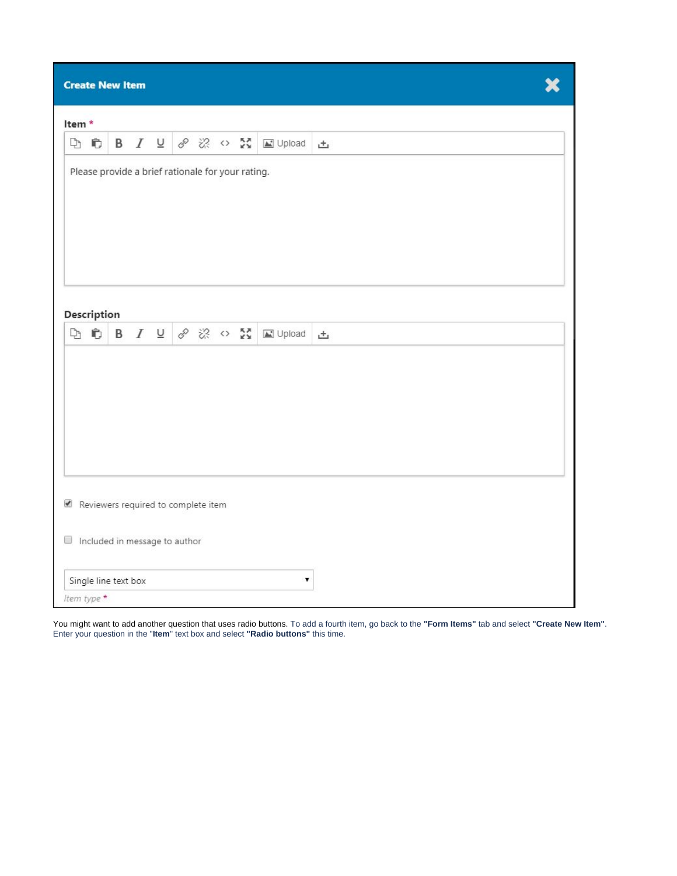| <b>Create New Item</b> |                                                                                                  |                      |  |  |  |  |  |  |                                             |   |  |  |  |
|------------------------|--------------------------------------------------------------------------------------------------|----------------------|--|--|--|--|--|--|---------------------------------------------|---|--|--|--|
|                        | Item*                                                                                            |                      |  |  |  |  |  |  |                                             |   |  |  |  |
|                        | DD                                                                                               |                      |  |  |  |  |  |  | <b>B</b> <i>I</i> <b>U</b> ♂ ※ ○ ☆ 国 Upload | 凸 |  |  |  |
|                        | Please provide a brief rationale for your rating.                                                |                      |  |  |  |  |  |  |                                             |   |  |  |  |
|                        | Description<br><b>B</b> $I \subseteq \mathcal{S} \otimes \mathcal{S}$ or<br>DD<br>La Upload<br>土 |                      |  |  |  |  |  |  |                                             |   |  |  |  |
|                        |                                                                                                  |                      |  |  |  |  |  |  |                                             |   |  |  |  |
|                        |                                                                                                  |                      |  |  |  |  |  |  |                                             |   |  |  |  |
|                        |                                                                                                  |                      |  |  |  |  |  |  |                                             |   |  |  |  |
|                        |                                                                                                  |                      |  |  |  |  |  |  |                                             |   |  |  |  |
|                        |                                                                                                  |                      |  |  |  |  |  |  |                                             |   |  |  |  |
|                        | Reviewers required to complete item<br>Included in message to author                             |                      |  |  |  |  |  |  |                                             |   |  |  |  |
|                        |                                                                                                  | Single line text box |  |  |  |  |  |  | ۷                                           |   |  |  |  |
|                        | Item type *                                                                                      |                      |  |  |  |  |  |  |                                             |   |  |  |  |

You might want to add another question that uses radio buttons. To add a fourth item, go back to the **"Form Items"** tab and select **"Create New Item"**. Enter your question in the "**Item**" text box and select **"Radio buttons"** this time.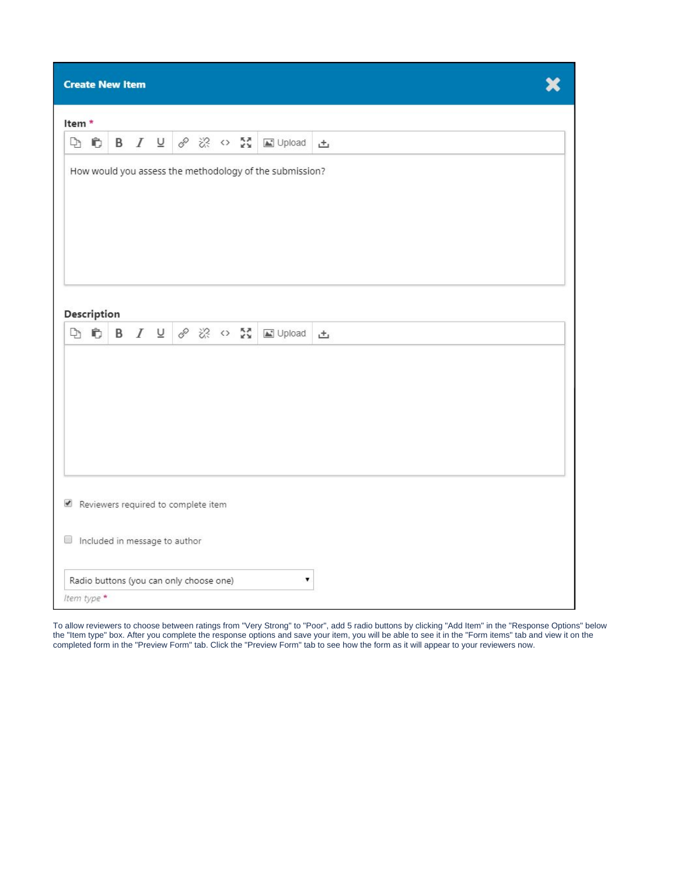| <b>Create New Item</b> |                                                               |  |  |  |                                         |  |  |  |                        |   |  |  |
|------------------------|---------------------------------------------------------------|--|--|--|-----------------------------------------|--|--|--|------------------------|---|--|--|
|                        | Item*                                                         |  |  |  |                                         |  |  |  |                        |   |  |  |
| DD                     |                                                               |  |  |  |                                         |  |  |  | B I U & ※ o 器 国 Upload | 击 |  |  |
|                        | How would you assess the methodology of the submission?       |  |  |  |                                         |  |  |  |                        |   |  |  |
|                        | Description<br><b>DDBIU &amp; * 0 M</b><br>$\Box$ Upload<br>土 |  |  |  |                                         |  |  |  |                        |   |  |  |
|                        |                                                               |  |  |  |                                         |  |  |  |                        |   |  |  |
|                        |                                                               |  |  |  |                                         |  |  |  |                        |   |  |  |
|                        |                                                               |  |  |  |                                         |  |  |  |                        |   |  |  |
|                        | Reviewers required to complete item                           |  |  |  |                                         |  |  |  |                        |   |  |  |
|                        | Included in message to author                                 |  |  |  |                                         |  |  |  |                        |   |  |  |
|                        |                                                               |  |  |  | Radio buttons (you can only choose one) |  |  |  | ۷                      |   |  |  |
| Item type *            |                                                               |  |  |  |                                         |  |  |  |                        |   |  |  |

To allow reviewers to choose between ratings from "Very Strong" to "Poor", add 5 radio buttons by clicking "Add Item" in the "Response Options" below the "Item type" box. After you complete the response options and save your item, you will be able to see it in the "Form items" tab and view it on the completed form in the "Preview Form" tab. Click the "Preview Form" tab to see how the form as it will appear to your reviewers now.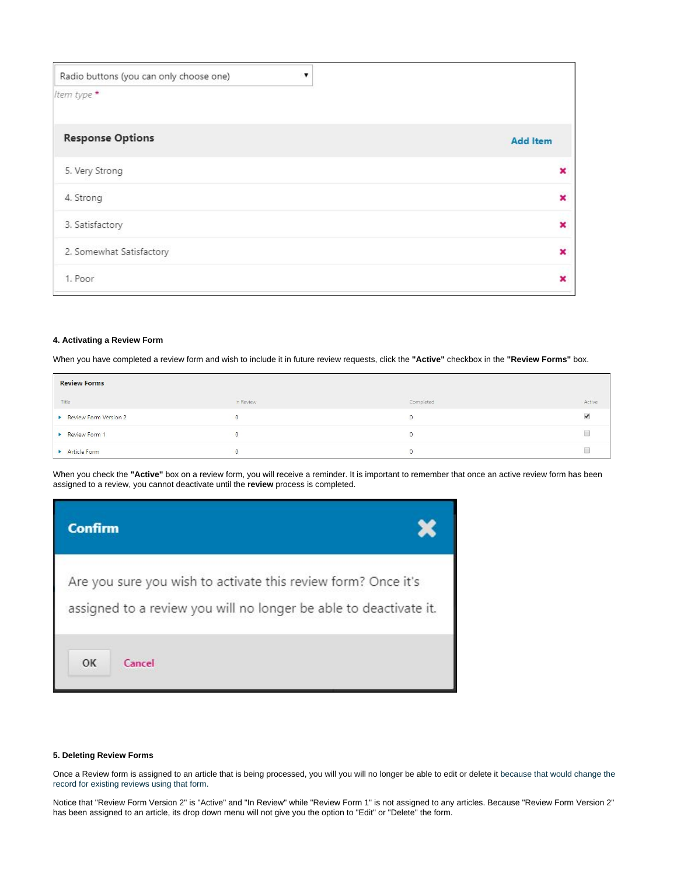| Radio buttons (you can only choose one) | ▼ |                           |
|-----------------------------------------|---|---------------------------|
| Item type *                             |   |                           |
| <b>Response Options</b>                 |   | <b>Add Item</b>           |
| 5. Very Strong                          |   | ×                         |
| 4. Strong                               |   | $\overline{\mathbf{x}}$   |
| 3. Satisfactory                         |   | $\boldsymbol{\mathsf{x}}$ |
| 2. Somewhat Satisfactory                |   | $\overline{\mathbf{x}}$   |
| 1. Poor                                 |   | ×                         |

## <span id="page-10-0"></span>**4. Activating a Review Form**

When you have completed a review form and wish to include it in future review requests, click the **"Active"** checkbox in the **"Review Forms"** box.

| <b>Review Forms</b>   |           |           |        |
|-----------------------|-----------|-----------|--------|
| Title                 | In Review | Completed | Active |
| Review Form Version 2 | $\circ$   |           |        |
| Review Form 1         |           |           |        |
| Article Form          | v         |           |        |

When you check the **"Active"** box on a review form, you will receive a reminder. It is important to remember that once an active review form has been assigned to a review, you cannot deactivate until the **review** process is completed.



## <span id="page-10-1"></span>**5. Deleting Review Forms**

Once a Review form is assigned to an article that is being processed, you will you will no longer be able to edit or delete it because that would change the record for existing reviews using that form.

Notice that "Review Form Version 2" is "Active" and "In Review" while "Review Form 1" is not assigned to any articles. Because "Review Form Version 2" has been assigned to an article, its drop down menu will not give you the option to "Edit" or "Delete" the form.